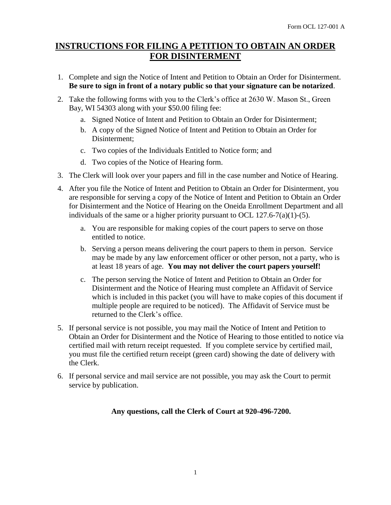## **INSTRUCTIONS FOR FILING A PETITION TO OBTAIN AN ORDER FOR DISINTERMENT**

- 1. Complete and sign the Notice of Intent and Petition to Obtain an Order for Disinterment. **Be sure to sign in front of a notary public so that your signature can be notarized**.
- 2. Take the following forms with you to the Clerk's office at 2630 W. Mason St., Green Bay, WI 54303 along with your \$50.00 filing fee:
	- a. Signed Notice of Intent and Petition to Obtain an Order for Disinterment;
	- b. A copy of the Signed Notice of Intent and Petition to Obtain an Order for Disinterment;
	- c. Two copies of the Individuals Entitled to Notice form; and
	- d. Two copies of the Notice of Hearing form.
- 3. The Clerk will look over your papers and fill in the case number and Notice of Hearing.
- 4. After you file the Notice of Intent and Petition to Obtain an Order for Disinterment, you are responsible for serving a copy of the Notice of Intent and Petition to Obtain an Order for Disinterment and the Notice of Hearing on the Oneida Enrollment Department and all individuals of the same or a higher priority pursuant to OCL  $127.6-7(a)(1)-(5)$ .
	- a. You are responsible for making copies of the court papers to serve on those entitled to notice.
	- b. Serving a person means delivering the court papers to them in person. Service may be made by any law enforcement officer or other person, not a party, who is at least 18 years of age. **You may not deliver the court papers yourself!**
	- c. The person serving the Notice of Intent and Petition to Obtain an Order for Disinterment and the Notice of Hearing must complete an Affidavit of Service which is included in this packet (you will have to make copies of this document if multiple people are required to be noticed). The Affidavit of Service must be returned to the Clerk's office.
- 5. If personal service is not possible, you may mail the Notice of Intent and Petition to Obtain an Order for Disinterment and the Notice of Hearing to those entitled to notice via certified mail with return receipt requested. If you complete service by certified mail, you must file the certified return receipt (green card) showing the date of delivery with the Clerk.
- 6. If personal service and mail service are not possible, you may ask the Court to permit service by publication.

#### **Any questions, call the Clerk of Court at 920-496-7200.**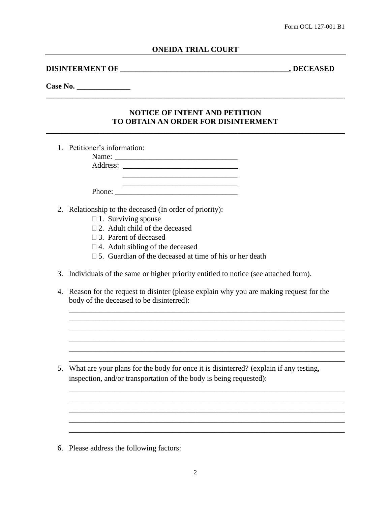#### **DISINTERMENT OF \_\_\_\_\_\_\_\_\_\_\_\_\_\_\_\_\_\_\_\_\_\_\_\_\_\_\_\_\_\_\_\_\_\_\_\_\_\_\_\_\_\_\_\_, DECEASED**

#### **Case No. \_\_\_\_\_\_\_\_\_\_\_\_\_\_**

### **NOTICE OF INTENT AND PETITION TO OBTAIN AN ORDER FOR DISINTERMENT**

**\_\_\_\_\_\_\_\_\_\_\_\_\_\_\_\_\_\_\_\_\_\_\_\_\_\_\_\_\_\_\_\_\_\_\_\_\_\_\_\_\_\_\_\_\_\_\_\_\_\_\_\_\_\_\_\_\_\_\_\_\_\_\_\_\_\_\_\_\_\_\_\_\_\_\_\_\_\_**

**\_\_\_\_\_\_\_\_\_\_\_\_\_\_\_\_\_\_\_\_\_\_\_\_\_\_\_\_\_\_\_\_\_\_\_\_\_\_\_\_\_\_\_\_\_\_\_\_\_\_\_\_\_\_\_\_\_\_\_\_\_\_\_\_\_\_\_\_\_\_\_\_\_\_\_\_\_\_**

1. Petitioner's information:

Name: \_\_\_\_\_\_\_\_\_\_\_\_\_\_\_\_\_\_\_\_\_\_\_\_\_\_\_\_\_\_\_\_ Address:

- 2. Relationship to the deceased (In order of priority):
	- $\Box$  1. Surviving spouse
	- $\Box$  2. Adult child of the deceased
	- 3. Parent of deceased
	- $\Box$  4. Adult sibling of the deceased
	- $\Box$  5. Guardian of the deceased at time of his or her death

 $\overline{\phantom{a}}$  , we can consider the constraint of the constraint  $\overline{\phantom{a}}$ 

Phone: \_\_\_\_\_\_\_\_\_\_\_\_\_\_\_\_\_\_\_\_\_\_\_\_\_\_\_\_\_\_\_\_

- 3. Individuals of the same or higher priority entitled to notice (see attached form).
- 4. Reason for the request to disinter (please explain why you are making request for the body of the deceased to be disinterred):

\_\_\_\_\_\_\_\_\_\_\_\_\_\_\_\_\_\_\_\_\_\_\_\_\_\_\_\_\_\_\_\_\_\_\_\_\_\_\_\_\_\_\_\_\_\_\_\_\_\_\_\_\_\_\_\_\_\_\_\_\_\_\_\_\_\_\_\_\_\_\_\_ \_\_\_\_\_\_\_\_\_\_\_\_\_\_\_\_\_\_\_\_\_\_\_\_\_\_\_\_\_\_\_\_\_\_\_\_\_\_\_\_\_\_\_\_\_\_\_\_\_\_\_\_\_\_\_\_\_\_\_\_\_\_\_\_\_\_\_\_\_\_\_\_ \_\_\_\_\_\_\_\_\_\_\_\_\_\_\_\_\_\_\_\_\_\_\_\_\_\_\_\_\_\_\_\_\_\_\_\_\_\_\_\_\_\_\_\_\_\_\_\_\_\_\_\_\_\_\_\_\_\_\_\_\_\_\_\_\_\_\_\_\_\_\_\_ \_\_\_\_\_\_\_\_\_\_\_\_\_\_\_\_\_\_\_\_\_\_\_\_\_\_\_\_\_\_\_\_\_\_\_\_\_\_\_\_\_\_\_\_\_\_\_\_\_\_\_\_\_\_\_\_\_\_\_\_\_\_\_\_\_\_\_\_\_\_\_\_ \_\_\_\_\_\_\_\_\_\_\_\_\_\_\_\_\_\_\_\_\_\_\_\_\_\_\_\_\_\_\_\_\_\_\_\_\_\_\_\_\_\_\_\_\_\_\_\_\_\_\_\_\_\_\_\_\_\_\_\_\_\_\_\_\_\_\_\_\_\_\_\_ \_\_\_\_\_\_\_\_\_\_\_\_\_\_\_\_\_\_\_\_\_\_\_\_\_\_\_\_\_\_\_\_\_\_\_\_\_\_\_\_\_\_\_\_\_\_\_\_\_\_\_\_\_\_\_\_\_\_\_\_\_\_\_\_\_\_\_\_\_\_\_\_

\_\_\_\_\_\_\_\_\_\_\_\_\_\_\_\_\_\_\_\_\_\_\_\_\_\_\_\_\_\_\_\_\_\_\_\_\_\_\_\_\_\_\_\_\_\_\_\_\_\_\_\_\_\_\_\_\_\_\_\_\_\_\_\_\_\_\_\_\_\_\_\_ \_\_\_\_\_\_\_\_\_\_\_\_\_\_\_\_\_\_\_\_\_\_\_\_\_\_\_\_\_\_\_\_\_\_\_\_\_\_\_\_\_\_\_\_\_\_\_\_\_\_\_\_\_\_\_\_\_\_\_\_\_\_\_\_\_\_\_\_\_\_\_\_  $\_$  . The contribution of the contribution of  $\mathcal{L}_1$  ,  $\mathcal{L}_2$  ,  $\mathcal{L}_3$  ,  $\mathcal{L}_4$  ,  $\mathcal{L}_5$  ,  $\mathcal{L}_6$  ,  $\mathcal{L}_7$  ,  $\mathcal{L}_8$  ,  $\mathcal{L}_9$  ,  $\mathcal{L}_9$  ,  $\mathcal{L}_8$  ,  $\mathcal{L}_9$  ,  $\mathcal{L}_9$  ,  $\mathcal{L}_8$  ,  $\mathcal{L}_$ 

\_\_\_\_\_\_\_\_\_\_\_\_\_\_\_\_\_\_\_\_\_\_\_\_\_\_\_\_\_\_\_\_\_\_\_\_\_\_\_\_\_\_\_\_\_\_\_\_\_\_\_\_\_\_\_\_\_\_\_\_\_\_\_\_\_\_\_\_\_\_\_\_

\_\_\_\_\_\_\_\_\_\_\_\_\_\_\_\_\_\_\_\_\_\_\_\_\_\_\_\_\_\_\_\_\_\_\_\_\_\_\_\_\_\_\_\_\_\_\_\_\_\_\_\_\_\_\_\_\_\_\_\_\_\_\_\_\_\_\_\_\_\_\_\_

5. What are your plans for the body for once it is disinterred? (explain if any testing, inspection, and/or transportation of the body is being requested):

6. Please address the following factors: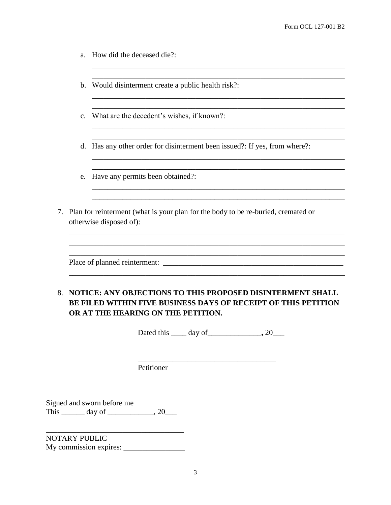- a. How did the deceased die?:
- b. Would disinterment create a public health risk?:
- c. What are the decedent's wishes, if known?:
- d. Has any other order for disinterment been issued?: If yes, from where?:

\_\_\_\_\_\_\_\_\_\_\_\_\_\_\_\_\_\_\_\_\_\_\_\_\_\_\_\_\_\_\_\_\_\_\_\_\_\_\_\_\_\_\_\_\_\_\_\_\_\_\_\_\_\_\_\_\_\_\_\_\_\_\_\_\_\_ \_\_\_\_\_\_\_\_\_\_\_\_\_\_\_\_\_\_\_\_\_\_\_\_\_\_\_\_\_\_\_\_\_\_\_\_\_\_\_\_\_\_\_\_\_\_\_\_\_\_\_\_\_\_\_\_\_\_\_\_\_\_\_\_\_\_

\_\_\_\_\_\_\_\_\_\_\_\_\_\_\_\_\_\_\_\_\_\_\_\_\_\_\_\_\_\_\_\_\_\_\_\_\_\_\_\_\_\_\_\_\_\_\_\_\_\_\_\_\_\_\_\_\_\_\_\_\_\_\_\_\_\_

\_\_\_\_\_\_\_\_\_\_\_\_\_\_\_\_\_\_\_\_\_\_\_\_\_\_\_\_\_\_\_\_\_\_\_\_\_\_\_\_\_\_\_\_\_\_\_\_\_\_\_\_\_\_\_\_\_\_\_\_\_\_\_\_\_\_ \_\_\_\_\_\_\_\_\_\_\_\_\_\_\_\_\_\_\_\_\_\_\_\_\_\_\_\_\_\_\_\_\_\_\_\_\_\_\_\_\_\_\_\_\_\_\_\_\_\_\_\_\_\_\_\_\_\_\_\_\_\_\_\_\_\_

 $\overline{\phantom{a}}$  , and the contribution of the contribution of the contribution of the contribution of the contribution of the contribution of the contribution of the contribution of the contribution of the contribution of the \_\_\_\_\_\_\_\_\_\_\_\_\_\_\_\_\_\_\_\_\_\_\_\_\_\_\_\_\_\_\_\_\_\_\_\_\_\_\_\_\_\_\_\_\_\_\_\_\_\_\_\_\_\_\_\_\_\_\_\_\_\_\_\_\_\_

\_\_\_\_\_\_\_\_\_\_\_\_\_\_\_\_\_\_\_\_\_\_\_\_\_\_\_\_\_\_\_\_\_\_\_\_\_\_\_\_\_\_\_\_\_\_\_\_\_\_\_\_\_\_\_\_\_\_\_\_\_\_\_\_\_\_ \_\_\_\_\_\_\_\_\_\_\_\_\_\_\_\_\_\_\_\_\_\_\_\_\_\_\_\_\_\_\_\_\_\_\_\_\_\_\_\_\_\_\_\_\_\_\_\_\_\_\_\_\_\_\_\_\_\_\_\_\_\_\_\_\_\_

- e. Have any permits been obtained?:
- 7. Plan for reinterment (what is your plan for the body to be re-buried, cremated or otherwise disposed of):

Place of planned reinterment: \_\_\_\_\_\_\_\_\_\_\_\_\_\_\_\_\_\_\_\_\_\_\_\_\_\_\_\_\_\_\_\_\_\_\_\_\_\_\_\_\_\_\_\_\_\_\_

## 8. **NOTICE: ANY OBJECTIONS TO THIS PROPOSED DISINTERMENT SHALL BE FILED WITHIN FIVE BUSINESS DAYS OF RECEIPT OF THIS PETITION OR AT THE HEARING ON THE PETITION.**

\_\_\_\_\_\_\_\_\_\_\_\_\_\_\_\_\_\_\_\_\_\_\_\_\_\_\_\_\_\_\_\_\_\_\_\_\_\_\_\_\_\_\_\_\_\_\_\_\_\_\_\_\_\_\_\_\_\_\_\_\_\_\_\_\_\_\_\_\_\_\_\_ \_\_\_\_\_\_\_\_\_\_\_\_\_\_\_\_\_\_\_\_\_\_\_\_\_\_\_\_\_\_\_\_\_\_\_\_\_\_\_\_\_\_\_\_\_\_\_\_\_\_\_\_\_\_\_\_\_\_\_\_\_\_\_\_\_\_\_\_\_\_\_\_

\_\_\_\_\_\_\_\_\_\_\_\_\_\_\_\_\_\_\_\_\_\_\_\_\_\_\_\_\_\_\_\_\_\_\_\_\_\_\_\_\_\_\_\_\_\_\_\_\_\_\_\_\_\_\_\_\_\_\_\_\_\_\_\_\_\_\_\_\_\_\_\_

Dated this \_\_\_\_ day of\_\_\_\_\_\_\_\_\_\_\_\_\_\_**,** 20\_\_\_

\_\_\_\_\_\_\_\_\_\_\_\_\_\_\_\_\_\_\_\_\_\_\_\_\_\_\_\_\_\_\_\_\_\_\_\_

Petitioner

Signed and sworn before me This  $\frac{1}{\sqrt{2}}$  day of  $\frac{1}{\sqrt{2}}$ , 20

NOTARY PUBLIC My commission expires: \_\_\_\_\_\_\_\_\_\_\_\_\_\_\_\_

\_\_\_\_\_\_\_\_\_\_\_\_\_\_\_\_\_\_\_\_\_\_\_\_\_\_\_\_\_\_\_\_\_\_\_\_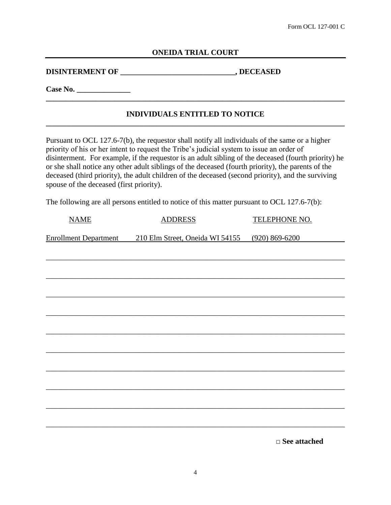#### **ONEIDA TRIAL COURT**

**DISINTERMENT OF \_\_\_\_\_\_\_\_\_\_\_\_\_\_\_\_\_\_\_\_\_\_\_\_\_\_\_\_\_\_, DECEASED**

**Case No. \_\_\_\_\_\_\_\_\_\_\_\_\_\_**

#### **INDIVIDUALS ENTITLED TO NOTICE \_\_\_\_\_\_\_\_\_\_\_\_\_\_\_\_\_\_\_\_\_\_\_\_\_\_\_\_\_\_\_\_\_\_\_\_\_\_\_\_\_\_\_\_\_\_\_\_\_\_\_\_\_\_\_\_\_\_\_\_\_\_\_\_\_\_\_\_\_\_\_\_\_\_\_\_\_\_**

Pursuant to OCL 127.6-7(b), the requestor shall notify all individuals of the same or a higher priority of his or her intent to request the Tribe's judicial system to issue an order of disinterment. For example, if the requestor is an adult sibling of the deceased (fourth priority) he or she shall notice any other adult siblings of the deceased (fourth priority), the parents of the deceased (third priority), the adult children of the deceased (second priority), and the surviving spouse of the deceased (first priority).

The following are all persons entitled to notice of this matter pursuant to OCL 127.6-7(b):

| <b>NAME</b> | <b>ADDRESS</b>                                                       | <b>TELEPHONE NO.</b> |
|-------------|----------------------------------------------------------------------|----------------------|
|             | Enrollment Department 210 Elm Street, Oneida WI 54155 (920) 869-6200 |                      |
|             |                                                                      |                      |
|             |                                                                      |                      |
|             |                                                                      |                      |
|             |                                                                      |                      |
|             |                                                                      |                      |
|             |                                                                      |                      |
|             |                                                                      |                      |
|             |                                                                      |                      |
|             |                                                                      |                      |
|             |                                                                      |                      |
|             |                                                                      |                      |
|             |                                                                      |                      |

□ **See attached**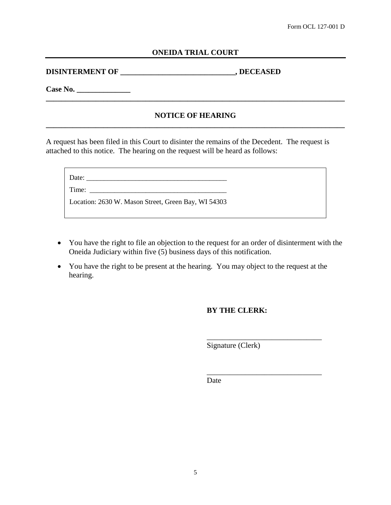#### **ONEIDA TRIAL COURT**

**DISINTERMENT OF \_\_\_\_\_\_\_\_\_\_\_\_\_\_\_\_\_\_\_\_\_\_\_\_\_\_\_\_\_\_, DECEASED**

**Case No. \_\_\_\_\_\_\_\_\_\_\_\_\_\_**

#### **NOTICE OF HEARING \_\_\_\_\_\_\_\_\_\_\_\_\_\_\_\_\_\_\_\_\_\_\_\_\_\_\_\_\_\_\_\_\_\_\_\_\_\_\_\_\_\_\_\_\_\_\_\_\_\_\_\_\_\_\_\_\_\_\_\_\_\_\_\_\_\_\_\_\_\_\_\_\_\_\_\_\_\_**

**\_\_\_\_\_\_\_\_\_\_\_\_\_\_\_\_\_\_\_\_\_\_\_\_\_\_\_\_\_\_\_\_\_\_\_\_\_\_\_\_\_\_\_\_\_\_\_\_\_\_\_\_\_\_\_\_\_\_\_\_\_\_\_\_\_\_\_\_\_\_\_\_\_\_\_\_\_\_**

A request has been filed in this Court to disinter the remains of the Decedent. The request is attached to this notice. The hearing on the request will be heard as follows:

| Date:                                               |
|-----------------------------------------------------|
| Time:                                               |
| Location: 2630 W. Mason Street, Green Bay, WI 54303 |

- You have the right to file an objection to the request for an order of disinterment with the Oneida Judiciary within five (5) business days of this notification.
- You have the right to be present at the hearing. You may object to the request at the hearing.

#### **BY THE CLERK:**

Signature (Clerk)

\_\_\_\_\_\_\_\_\_\_\_\_\_\_\_\_\_\_\_\_\_\_\_\_\_\_\_\_\_\_

\_\_\_\_\_\_\_\_\_\_\_\_\_\_\_\_\_\_\_\_\_\_\_\_\_\_\_\_\_\_

Date